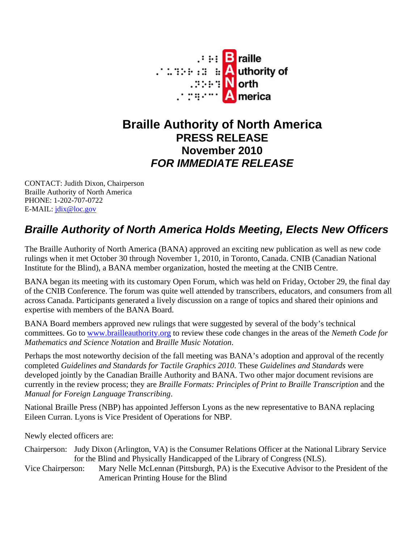

## **Braille Authority of North America PRESS RELEASE November 2010** *FOR IMMEDIATE RELEASE*

CONTACT: Judith Dixon, Chairperson Braille Authority of North America PHONE: 1-202-707-0722 E-MAIL: [jdix@loc.gov](mailto:jdix@loc.gov)

## *Braille Authority of North America Holds Meeting, Elects New Officers*

The Braille Authority of North America (BANA) approved an exciting new publication as well as new code rulings when it met October 30 through November 1, 2010, in Toronto, Canada. CNIB (Canadian National Institute for the Blind), a BANA member organization, hosted the meeting at the CNIB Centre.

BANA began its meeting with its customary Open Forum, which was held on Friday, October 29, the final day of the CNIB Conference. The forum was quite well attended by transcribers, educators, and consumers from all across Canada. Participants generated a lively discussion on a range of topics and shared their opinions and expertise with members of the BANA Board.

BANA Board members approved new rulings that were suggested by several of the body's technical committees. Go to [www.brailleauthority.org](http://www.brailleauthority.org/) to review these code changes in the areas of the *Nemeth Code for Mathematics and Science Notation* and *Braille Music Notation*.

Perhaps the most noteworthy decision of the fall meeting was BANA's adoption and approval of the recently completed *Guidelines and Standards for Tactile Graphics 2010*. These *Guidelines and Standards* were developed jointly by the Canadian Braille Authority and BANA. Two other major document revisions are currently in the review process; they are *Braille Formats: Principles of Print to Braille Transcription* and the *Manual for Foreign Language Transcribing*.

National Braille Press (NBP) has appointed Jefferson Lyons as the new representative to BANA replacing Eileen Curran. Lyons is Vice President of Operations for NBP.

Newly elected officers are:

Chairperson: Judy Dixon (Arlington, VA) is the Consumer Relations Officer at the National Library Service for the Blind and Physically Handicapped of the Library of Congress (NLS).

Vice Chairperson: Mary Nelle McLennan (Pittsburgh, PA) is the Executive Advisor to the President of the American Printing House for the Blind